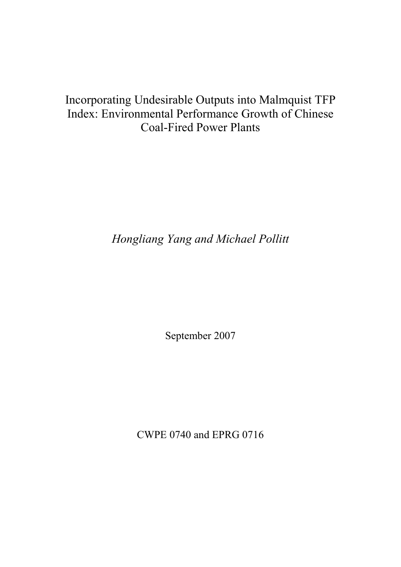# Incorporating Undesirable Outputs into Malmquist TFP Index: Environmental Performance Growth of Chinese Coal-Fired Power Plants

Hongliang Yang and Michael Pollitt

September 2007

CWPE 0740 and EPRG 0716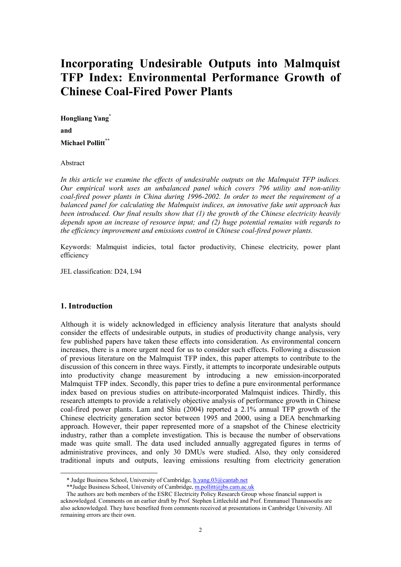# Incorporating Undesirable Outputs into Malmquist TFP Index: Environmental Performance Growth of Chinese Coal-Fired Power Plants

Hongliang Yang<sup>\*</sup> and Michael Pollitt<sup>\*\*</sup>

#### Abstract

In this article we examine the effects of undesirable outputs on the Malmquist TFP indices. Our empirical work uses an unbalanced panel which covers 796 utility and non-utility coal-fired power plants in China during 1996-2002. In order to meet the requirement of a balanced panel for calculating the Malmquist indices, an innovative fake unit approach has been introduced. Our final results show that (1) the growth of the Chinese electricity heavily depends upon an increase of resource input; and (2) huge potential remains with regards to the efficiency improvement and emissions control in Chinese coal-fired power plants.

Keywords: Malmquist indicies, total factor productivity, Chinese electricity, power plant efficiency

JEL classification: D24, L94

# 1. Introduction

 $\ddot{ }$ 

Although it is widely acknowledged in efficiency analysis literature that analysts should consider the effects of undesirable outputs, in studies of productivity change analysis, very few published papers have taken these effects into consideration. As environmental concern increases, there is a more urgent need for us to consider such effects. Following a discussion of previous literature on the Malmquist TFP index, this paper attempts to contribute to the discussion of this concern in three ways. Firstly, it attempts to incorporate undesirable outputs into productivity change measurement by introducing a new emission-incorporated Malmquist TFP index. Secondly, this paper tries to define a pure environmental performance index based on previous studies on attribute-incorporated Malmquist indices. Thirdly, this research attempts to provide a relatively objective analysis of performance growth in Chinese coal-fired power plants. Lam and Shiu (2004) reported a 2.1% annual TFP growth of the Chinese electricity generation sector between 1995 and 2000, using a DEA benchmarking approach. However, their paper represented more of a snapshot of the Chinese electricity industry, rather than a complete investigation. This is because the number of observations made was quite small. The data used included annually aggregated figures in terms of administrative provinces, and only 30 DMUs were studied. Also, they only considered traditional inputs and outputs, leaving emissions resulting from electricity generation

<sup>\*</sup> Judge Business School, University of Cambridge, h.yang.03@cantab.net

<sup>\*\*</sup>Judge Business School, University of Cambridge, m.pollitt@jbs.cam.ac.uk

The authors are both members of the ESRC Electricity Policy Research Group whose financial support is acknowledged. Comments on an earlier draft by Prof. Stephen Littlechild and Prof. Emmanuel Thanassoulis are also acknowledged. They have benefited from comments received at presentations in Cambridge University. All remaining errors are their own.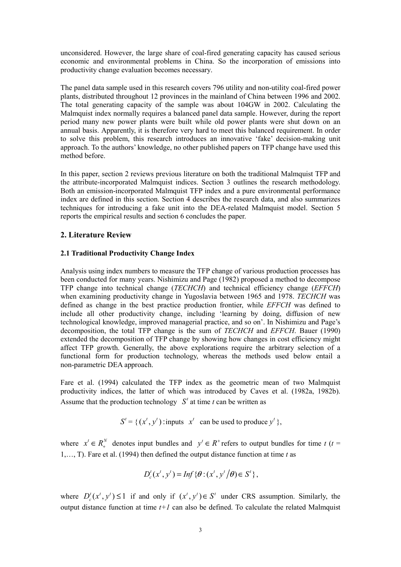unconsidered. However, the large share of coal-fired generating capacity has caused serious economic and environmental problems in China. So the incorporation of emissions into productivity change evaluation becomes necessary.

The panel data sample used in this research covers 796 utility and non-utility coal-fired power plants, distributed throughout 12 provinces in the mainland of China between 1996 and 2002. The total generating capacity of the sample was about 104GW in 2002. Calculating the Malmquist index normally requires a balanced panel data sample. However, during the report period many new power plants were built while old power plants were shut down on an annual basis. Apparently, it is therefore very hard to meet this balanced requirement. In order to solve this problem, this research introduces an innovative 'fake' decision-making unit approach. To the authors' knowledge, no other published papers on TFP change have used this method before.

In this paper, section 2 reviews previous literature on both the traditional Malmquist TFP and the attribute-incorporated Malmquist indices. Section 3 outlines the research methodology. Both an emission-incorporated Malmquist TFP index and a pure environmental performance index are defined in this section. Section 4 describes the research data, and also summarizes techniques for introducing a fake unit into the DEA-related Malmquist model. Section 5 reports the empirical results and section 6 concludes the paper.

# 2. Literature Review

## 2.1 Traditional Productivity Change Index

Analysis using index numbers to measure the TFP change of various production processes has been conducted for many years. Nishimizu and Page (1982) proposed a method to decompose TFP change into technical change (TECHCH) and technical efficiency change (EFFCH) when examining productivity change in Yugoslavia between 1965 and 1978. TECHCH was defined as change in the best practice production frontier, while EFFCH was defined to include all other productivity change, including 'learning by doing, diffusion of new technological knowledge, improved managerial practice, and so on'. In Nishimizu and Page's decomposition, the total TFP change is the sum of TECHCH and EFFCH. Bauer (1990) extended the decomposition of TFP change by showing how changes in cost efficiency might affect TFP growth. Generally, the above explorations require the arbitrary selection of a functional form for production technology, whereas the methods used below entail a non-parametric DEA approach.

Fare et al. (1994) calculated the TFP index as the geometric mean of two Malmquist productivity indices, the latter of which was introduced by Caves et al. (1982a, 1982b). Assume that the production technology  $S'$  at time t can be written as

 $S' = \{ (x', y') : \text{inputs} \mid x' \text{ can be used to produce } y' \},$ 

where  $x' \in R_+^N$  denotes input bundles and  $y' \in R^+$  refers to output bundles for time t (t = 1,..., T). Fare et al. (1994) then defined the output distance function at time  $t$  as

$$
D_c^t(x^t, y^t) = \text{Inf}\left\{\theta : (x^t, y^t/\theta) \in S^t\right\},\
$$

where  $D_x^t(x^t, y^t) \le 1$  if and only if  $(x^t, y^t) \in S^t$  under CRS assumption. Similarly, the output distance function at time  $t+1$  can also be defined. To calculate the related Malmquist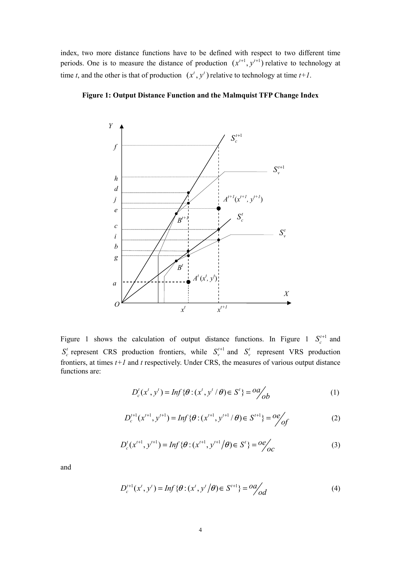index, two more distance functions have to be defined with respect to two different time periods. One is to measure the distance of production  $(x^{t+1}, y^{t+1})$  relative to technology at time t, and the other is that of production  $(x^t, y^t)$  relative to technology at time  $t+1$ .



Figure 1: Output Distance Function and the Malmquist TFP Change Index

Figure 1 shows the calculation of output distance functions. In Figure 1  $S_c^{t+1}$  and t  $S_c^t$  represent CRS production frontiers, while  $S_v^{t+1}$  and  $S_v^t$  represent VRS production frontiers, at times  $t+1$  and t respectively. Under CRS, the measures of various output distance functions are:

$$
D_c^t(x^t, y^t) = Inf \{ \theta : (x^t, y^t / \theta) \in S^t \} = \frac{oa}{ob}
$$
 (1)

$$
D_c^{t+1}(x^{t+1}, y^{t+1}) = Inf \{ \theta : (x^{t+1}, y^{t+1} / \theta) \in S^{t+1} \} = \frac{oe}{of}
$$
 (2)

$$
D'_{c}(x^{t+1}, y^{t+1}) = Inf \{ \theta : (x^{t+1}, y^{t+1} / \theta) \in S^{t} \} = \frac{oe}{oc}
$$
 (3)

and

$$
D_c^{t+1}(x^t, y^t) = Inf \{ \theta : (x^t, y^t / \theta) \in S^{t+1} \} = oa/d
$$
 (4)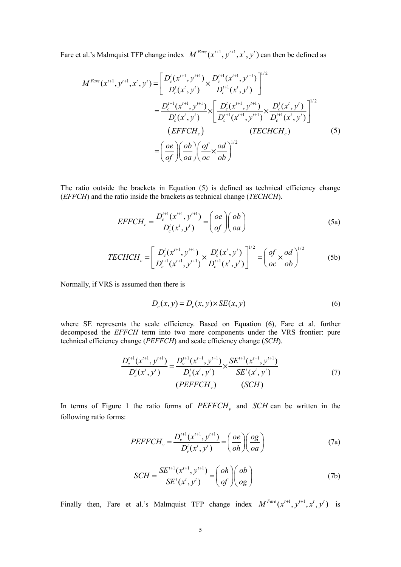Fare et al.'s Malmquist TFP change index  $M^{Fare}(x^{t+1}, y^{t+1}, x^t, y^t)$  can then be defined as

$$
M^{Fare}(x^{t+1}, y^{t+1}, x^t, y^t) = \left[ \frac{D_c^t(x^{t+1}, y^{t+1})}{D_c^t(x^t, y^t)} \times \frac{D_c^{t+1}(x^{t+1}, y^{t+1})}{D_c^{t+1}(x^t, y^t)} \right]^{1/2}
$$
  

$$
= \frac{D_c^{t+1}(x^{t+1}, y^{t+1})}{D_c^t(x^t, y^t)} \times \left[ \frac{D_c^t(x^{t+1}, y^{t+1})}{D_c^{t+1}(x^{t+1}, y^{t+1})} \times \frac{D_c^t(x^t, y^t)}{D_c^{t+1}(x^t, y^t)} \right]^{1/2}
$$
  
*(EFFCH<sub>c</sub>)* (*TECHCH<sub>c</sub>)*  

$$
= \left( \frac{oe}{of} \right) \left( \frac{ob}{oa} \right) \left( \frac{of}{oc} \times \frac{od}{ob} \right)^{1/2}
$$
 (5)

The ratio outside the brackets in Equation (5) is defined as technical efficiency change (EFFCH) and the ratio inside the brackets as technical change (TECHCH).

$$
EFFCH_c = \frac{D_c^{t+1}(x^{t+1}, y^{t+1})}{D_c^t(x^t, y^t)} = \left(\frac{oe}{of}\right)\left(\frac{ob}{oa}\right)
$$
\n(5a)

$$
TECHCHc = \left[ \frac{D_c'(x^{t+1}, y^{t+1})}{D_c^{t+1}(x^{t+1}, y^{t+1})} \times \frac{D_c'(x^t, y^t)}{D_c^{t+1}(x^t, y^t)} \right]^{1/2} = \left( \frac{of}{oc} \times \frac{od}{ob} \right)^{1/2}
$$
(5b)

Normally, if VRS is assumed then there is

$$
D_c(x, y) = D_v(x, y) \times SE(x, y)
$$
\n<sup>(6)</sup>

where SE represents the scale efficiency. Based on Equation (6), Fare et al. further decomposed the EFFCH term into two more components under the VRS frontier: pure technical efficiency change (PEFFCH) and scale efficiency change (SCH).

$$
\frac{D_c^{t+1}(x^{t+1}, y^{t+1})}{D_c^t(x^t, y^t)} = \frac{D_v^{t+1}(x^{t+1}, y^{t+1})}{D_v^t(x^t, y^t)} \times \frac{SE^{t+1}(x^{t+1}, y^{t+1})}{SE^t(x^t, y^t)}
$$
\n
$$
(7)
$$
\n
$$
(PEFFCH_v) \qquad (SCH)
$$

In terms of Figure 1 the ratio forms of  $PEFFCH$ , and  $SCH$  can be written in the following ratio forms:

$$
PEFFCH_v = \frac{D_v^{t+1}(x^{t+1}, y^{t+1})}{D_v^t(x^t, y^t)} = \left(\frac{oe}{oh}\right)\left(\frac{og}{oa}\right)
$$
(7a)

$$
SCH = \frac{SE^{t+1}(x^{t+1}, y^{t+1})}{SE^{t}(x^{t}, y^{t})} = \left(\frac{oh}{of}\right)\left(\frac{ob}{og}\right)
$$
(7b)

Finally then, Fare et al.'s Malmquist TFP change index  $M^{Fare}(x^{t+1}, y^{t+1}, x^t, y^t)$  is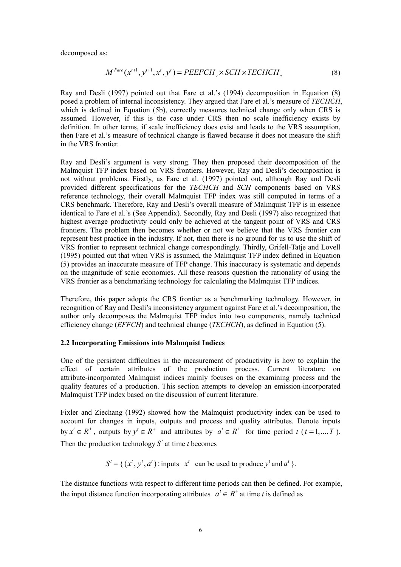decomposed as:

$$
M^{Fare}(x^{t+1}, y^{t+1}, x^t, y^t) = PEEFCH_v \times SCH \times TECHCH_c
$$
\n
$$
(8)
$$

Ray and Desli (1997) pointed out that Fare et al.'s (1994) decomposition in Equation (8) posed a problem of internal inconsistency. They argued that Fare et al.'s measure of TECHCH, which is defined in Equation (5b), correctly measures technical change only when CRS is assumed. However, if this is the case under CRS then no scale inefficiency exists by definition. In other terms, if scale inefficiency does exist and leads to the VRS assumption, then Fare et al.'s measure of technical change is flawed because it does not measure the shift in the VRS frontier.

Ray and Desli's argument is very strong. They then proposed their decomposition of the Malmquist TFP index based on VRS frontiers. However, Ray and Desli's decomposition is not without problems. Firstly, as Fare et al. (1997) pointed out, although Ray and Desli provided different specifications for the TECHCH and SCH components based on VRS reference technology, their overall Malmquist TFP index was still computed in terms of a CRS benchmark. Therefore, Ray and Desli's overall measure of Malmquist TFP is in essence identical to Fare et al.'s (See Appendix). Secondly, Ray and Desli (1997) also recognized that highest average productivity could only be achieved at the tangent point of VRS and CRS frontiers. The problem then becomes whether or not we believe that the VRS frontier can represent best practice in the industry. If not, then there is no ground for us to use the shift of VRS frontier to represent technical change correspondingly. Thirdly, Grifell-Tatje and Lovell (1995) pointed out that when VRS is assumed, the Malmquist TFP index defined in Equation (5) provides an inaccurate measure of TFP change. This inaccuracy is systematic and depends on the magnitude of scale economies. All these reasons question the rationality of using the VRS frontier as a benchmarking technology for calculating the Malmquist TFP indices.

Therefore, this paper adopts the CRS frontier as a benchmarking technology. However, in recognition of Ray and Desli's inconsistency argument against Fare et al.'s decomposition, the author only decomposes the Malmquist TFP index into two components, namely technical efficiency change (EFFCH) and technical change (TECHCH), as defined in Equation (5).

### 2.2 Incorporating Emissions into Malmquist Indices

One of the persistent difficulties in the measurement of productivity is how to explain the effect of certain attributes of the production process. Current literature on attribute-incorporated Malmquist indices mainly focuses on the examining process and the quality features of a production. This section attempts to develop an emission-incorporated Malmquist TFP index based on the discussion of current literature.

Fixler and Ziechang (1992) showed how the Malmquist productivity index can be used to account for changes in inputs, outputs and process and quality attributes. Denote inputs by  $x' \in R^+$ , outputs by  $y' \in R^+$  and attributes by  $a' \in R^+$  for time period t  $(t = 1, ..., T)$ . Then the production technology  $S<sup>t</sup>$  at time t becomes

 $S' = \{ (x', y', a') : \text{inputs } x' \text{ can be used to produce } y' \text{ and } a' \}.$ 

The distance functions with respect to different time periods can then be defined. For example, the input distance function incorporating attributes  $a^t \in R^+$  at time t is defined as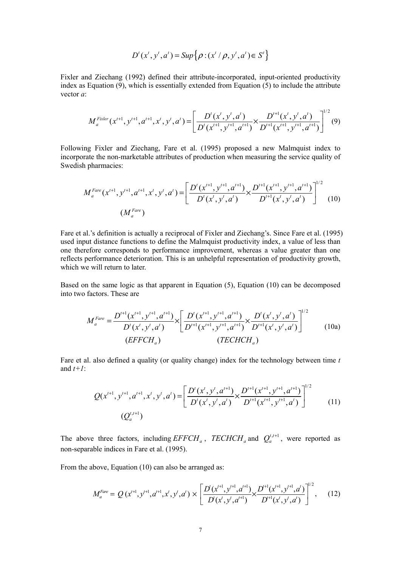$$
D^{t}(x^{t}, y^{t}, a^{t}) = Sup \big\{\rho : (x^{t} / \rho, y^{t}, a^{t}) \in S^{t}\big\}
$$

Fixler and Ziechang (1992) defined their attribute-incorporated, input-oriented productivity index as Equation  $(9)$ , which is essentially extended from Equation  $(5)$  to include the attribute vector a:

$$
M_a^{Fixler}(x^{t+1}, y^{t+1}, a^{t+1}, x^t, y^t, a^t) = \left[ \frac{D^t(x^t, y^t, a^t)}{D^t(x^{t+1}, y^{t+1}, a^{t+1})} \times \frac{D^{t+1}(x^t, y^t, a^t)}{D^{t+1}(x^{t+1}, y^{t+1}, a^{t+1})} \right]^{1/2} (9)
$$

Following Fixler and Ziechang, Fare et al. (1995) proposed a new Malmquist index to incorporate the non-marketable attributes of production when measuring the service quality of Swedish pharmacies:

$$
M_a^{Fare}(x^{t+1}, y^{t+1}, a^{t+1}, x^t, y^t, a^t) = \left[ \frac{D^t(x^{t+1}, y^{t+1}, a^{t+1})}{D^t(x^t, y^t, a^t)} \times \frac{D^{t+1}(x^{t+1}, y^{t+1}, a^{t+1})}{D^{t+1}(x^t, y^t, a^t)} \right]^{1/2}
$$
(10)

Fare et al.'s definition is actually a reciprocal of Fixler and Ziechang's. Since Fare et al. (1995) used input distance functions to define the Malmquist productivity index, a value of less than one therefore corresponds to performance improvement, whereas a value greater than one reflects performance deterioration. This is an unhelpful representation of productivity growth, which we will return to later.

Based on the same logic as that apparent in Equation (5), Equation (10) can be decomposed into two factors. These are

$$
M_a^{Face} = \frac{D^{t+1}(x^{t+1}, y^{t+1}, a^{t+1})}{D^t(x^t, y^t, a^t)} \times \left[ \frac{D^t(x^{t+1}, y^{t+1}, a^{t+1})}{D^{t+1}(x^{t+1}, y^{t+1}, a^{t+1})} \times \frac{D^t(x^t, y^t, a^t)}{D^{t+1}(x^t, y^t, a^t)} \right]^{1/2}
$$
(10a)  
(EFFCH<sub>a</sub>)  
(TECHCH<sub>a</sub>)

Fare et al. also defined a quality (or quality change) index for the technology between time  $t$ and  $t+1$ :

$$
Q(x^{t+1}, y^{t+1}, a^{t+1}, x^t, y^t, a^t) = \left[ \frac{D^t(x^t, y^t, a^{t+1})}{D^t(x^t, y^t, a^t)} \times \frac{D^{t+1}(x^{t+1}, y^{t+1}, a^{t+1})}{D^{t+1}(x^{t+1}, y^{t+1}, a^t)} \right]^{1/2}
$$
(11)

The above three factors, including  $EFFCH_a$ ,  $TECHCH_a$  and  $Q_a^{t,t+1}$ , were reported as non-separable indices in Fare et al. (1995).

From the above, Equation (10) can also be arranged as:

$$
M_a^{Fare} = Q\left(x^{t+1}, y^{t+1}, a^{t+1}, x^t, y^t, a^t\right) \times \left[ \frac{D\left(x^{t+1}, y^{t+1}, a^{t+1}\right)}{D\left(x^t, y^t, a^{t+1}\right)} \times \frac{D^{t+1}\left(x^{t+1}, y^{t+1}, a^t\right)}{D^{t+1}\left(x^t, y^t, a^t\right)} \right]^{1/2},\tag{12}
$$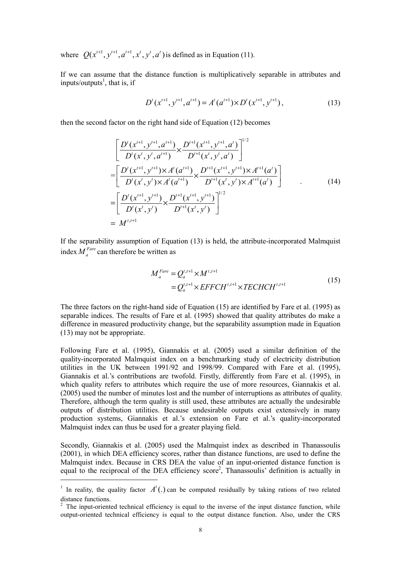where  $Q(x^{t+1}, y^{t+1}, a^{t+1}, x^t, y^t, a^t)$  is defined as in Equation (11).

If we can assume that the distance function is multiplicatively separable in attributes and inputs/outputs<sup>1</sup>, that is, if

$$
D^{t}(x^{t+1}, y^{t+1}, a^{t+1}) = A^{t}(a^{t+1}) \times D^{t}(x^{t+1}, y^{t+1}),
$$
\n(13)

then the second factor on the right hand side of Equation (12) becomes

$$
\begin{aligned}\n&\left[\frac{D^{t}(x^{t+1}, y^{t+1}, a^{t+1})}{D^{t}(x^{t}, y^{t}, a^{t+1})} \times \frac{D^{t+1}(x^{t+1}, y^{t+1}, a^{t})}{D^{t+1}(x^{t}, y^{t}, a^{t})}\right]^{1/2} \\
&= \left[\frac{D^{t}(x^{t+1}, y^{t+1}) \times A^{t}(a^{t+1})}{D^{t}(x^{t}, y^{t}) \times A^{t}(a^{t+1})} \times \frac{D^{t+1}(x^{t+1}, y^{t+1}) \times A^{t+1}(a^{t})}{D^{t+1}(x^{t}, y^{t}) \times A^{t+1}(a^{t})}\right] \\
&= \left[\frac{D^{t}(x^{t+1}, y^{t+1})}{D^{t}(x^{t}, y^{t})} \times \frac{D^{t+1}(x^{t+1}, y^{t+1})}{D^{t+1}(x^{t}, y^{t})}\right]^{1/2} \\
&= M^{t, t+1}\n\end{aligned} \tag{14}
$$

If the separability assumption of Equation (13) is held, the attribute-incorporated Malmquist index  $M_a^{Face}$  can therefore be written as

$$
M_a^{Fare} = Q_a^{t,t+1} \times M^{t,t+1}
$$
  
=  $Q_a^{t,t+1} \times EFFCH^{t,t+1} \times TECHCH^{t,t+1}$  (15)

The three factors on the right-hand side of Equation (15) are identified by Fare et al. (1995) as separable indices. The results of Fare et al. (1995) showed that quality attributes do make a difference in measured productivity change, but the separability assumption made in Equation (13) may not be appropriate.

Following Fare et al. (1995), Giannakis et al. (2005) used a similar definition of the quality-incorporated Malmquist index on a benchmarking study of electricity distribution utilities in the UK between 1991/92 and 1998/99. Compared with Fare et al. (1995), Giannakis et al.'s contributions are twofold. Firstly, differently from Fare et al. (1995), in which quality refers to attributes which require the use of more resources, Giannakis et al. (2005) used the number of minutes lost and the number of interruptions as attributes of quality. Therefore, although the term quality is still used, these attributes are actually the undesirable outputs of distribution utilities. Because undesirable outputs exist extensively in many production systems, Giannakis et al.'s extension on Fare et al.'s quality-incorporated Malmquist index can thus be used for a greater playing field.

Secondly, Giannakis et al. (2005) used the Malmquist index as described in Thanassoulis (2001), in which DEA efficiency scores, rather than distance functions, are used to define the Malmquist index. Because in CRS DEA the value of an input-oriented distance function is equal to the reciprocal of the DEA efficiency score<sup>2</sup>, Thanassoulis' definition is actually in

 $\ddot{ }$ 

<sup>&</sup>lt;sup>1</sup> In reality, the quality factor  $A<sup>t</sup>(.)$  can be computed residually by taking rations of two related distance functions.

 $2$  The input-oriented technical efficiency is equal to the inverse of the input distance function, while output-oriented technical efficiency is equal to the output distance function. Also, under the CRS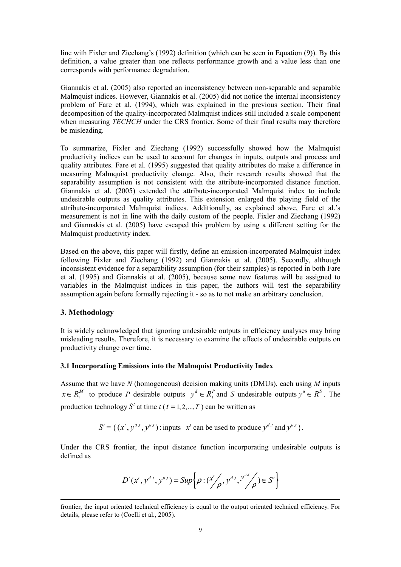line with Fixler and Ziechang's (1992) definition (which can be seen in Equation (9)). By this definition, a value greater than one reflects performance growth and a value less than one corresponds with performance degradation.

Giannakis et al. (2005) also reported an inconsistency between non-separable and separable Malmquist indices. However, Giannakis et al. (2005) did not notice the internal inconsistency problem of Fare et al. (1994), which was explained in the previous section. Their final decomposition of the quality-incorporated Malmquist indices still included a scale component when measuring *TECHCH* under the CRS frontier. Some of their final results may therefore be misleading.

To summarize, Fixler and Ziechang (1992) successfully showed how the Malmquist productivity indices can be used to account for changes in inputs, outputs and process and quality attributes. Fare et al. (1995) suggested that quality attributes do make a difference in measuring Malmquist productivity change. Also, their research results showed that the separability assumption is not consistent with the attribute-incorporated distance function. Giannakis et al. (2005) extended the attribute-incorporated Malmquist index to include undesirable outputs as quality attributes. This extension enlarged the playing field of the attribute-incorporated Malmquist indices. Additionally, as explained above, Fare et al.'s measurement is not in line with the daily custom of the people. Fixler and Ziechang (1992) and Giannakis et al. (2005) have escaped this problem by using a different setting for the Malmquist productivity index.

Based on the above, this paper will firstly, define an emission-incorporated Malmquist index following Fixler and Ziechang (1992) and Giannakis et al. (2005). Secondly, although inconsistent evidence for a separability assumption (for their samples) is reported in both Fare et al. (1995) and Giannakis et al. (2005), because some new features will be assigned to variables in the Malmquist indices in this paper, the authors will test the separability assumption again before formally rejecting it - so as to not make an arbitrary conclusion.

# 3. Methodology

It is widely acknowledged that ignoring undesirable outputs in efficiency analyses may bring misleading results. Therefore, it is necessary to examine the effects of undesirable outputs on productivity change over time.

# 3.1 Incorporating Emissions into the Malmquist Productivity Index

Assume that we have  $N$  (homogeneous) decision making units (DMUs), each using  $M$  inputs  $x \in R_+^M$  to produce P desirable outputs  $y^d \in R_+^P$  and S undesirable outputs  $y^u \in R_+^S$ . The production technology  $S^t$  at time  $t$  ( $t = 1, 2, ..., T$ ) can be written as

 $S' = \{ (x^t, y^{d,t}, y^{u,t}) : \text{inputs} \mid x^t \text{ can be used to produce } y^{d,t} \text{ and } y^{u,t} \}.$ 

Under the CRS frontier, the input distance function incorporating undesirable outputs is defined as

$$
D^{t}(x^{t}, y^{d,t}, y^{u,t}) = Sup \bigg\{\rho : (x^{t}/\rho, y^{d,t}, y^{u,t}/\rho) \in S^{t}\bigg\}
$$

frontier, the input oriented technical efficiency is equal to the output oriented technical efficiency. For details, please refer to (Coelli et al., 2005).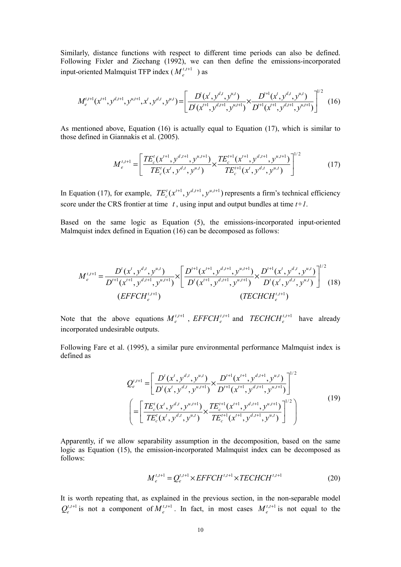Similarly, distance functions with respect to different time periods can also be defined. Following Fixler and Ziechang (1992), we can then define the emissions-incorporated input-oriented Malmquist TFP index ( $M_e^{t,t+1}$ ) as

$$
M_e^{t,t+1}(x^{t+1}, y^{d,t+1}, y^{u,t+1}, x^t, y^{d,t}, y^{u,t}) = \left[ \frac{D^t(x^t, y^{d,t}, y^{u,t})}{D^t(x^{t+1}, y^{d,t+1}, y^{u,t+1})} \times \frac{D^{t+1}(x^t, y^{d,t}, y^{u,t})}{D^{t+1}(x^{t+1}, y^{d,t+1}, y^{u,t+1})} \right]^{1/2}
$$
(16)

As mentioned above, Equation (16) is actually equal to Equation (17), which is similar to those defined in Giannakis et al. (2005).

$$
M_e^{t,t+1} = \left[ \frac{TE_c^t(x^{t+1}, y^{d,t+1}, y^{u,t+1})}{TE_c^t(x^t, y^{d,t}, y^{u,t})} \times \frac{TE_c^{t+1}(x^{t+1}, y^{d,t+1}, y^{u,t+1})}{TE_c^{t+1}(x^t, y^{d,t}, y^{u,t})} \right]^{1/2}
$$
(17)

In Equation (17), for example,  $TE_c^t(x^{t+1}, y^{d,t+1}, y^{u,t+1})$  represents a firm's technical efficiency score under the CRS frontier at time  $t$ , using input and output bundles at time  $t+1$ .

Based on the same logic as Equation (5), the emissions-incorporated input-oriented Malmquist index defined in Equation (16) can be decomposed as follows:

$$
M_e^{t,t+1} = \frac{D^t(x^t, y^{d,t}, y^{u,t})}{D^{t+1}(x^{t+1}, y^{d,t+1}, y^{u,t+1})} \times \left[ \frac{D^{t+1}(x^{t+1}, y^{d,t+1}, y^{u,t+1})}{D^t(x^{t+1}, y^{d,t+1}, y^{u,t+1})} \times \frac{D^{t+1}(x^t, y^{d,t}, y^{u,t})}{D^t(x^t, y^{d,t}, y^{u,t})} \right]^{1/2}
$$
(18)

Note that the above equations  $M_e^{t,t+1}$ ,  $EFFCH_e^{t,t+1}$  and  $TECHCH_e^{t,t+1}$  have already incorporated undesirable outputs.

Following Fare et al. (1995), a similar pure environmental performance Malmquist index is defined as

$$
Q_e^{t,t+1} = \left[ \frac{D^t(x^t, y^{d,t}, y^{u,t})}{D^t(x^t, y^{d,t}, y^{u,t+1})} \times \frac{D^{t+1}(x^{t+1}, y^{d,t+1}, y^{u,t})}{D^{t+1}(x^{t+1}, y^{d,t+1}, y^{u,t+1})} \right]^{1/2}
$$
  
\n
$$
\left( = \left[ \frac{TE_c^t(x^t, y^{d,t}, y^{u,t+1})}{TE_c^t(x^t, y^{d,t}, y^{u,t})} \times \frac{TE_c^{t+1}(x^{t+1}, y^{d,t+1}, y^{u,t+1})}{TE_c^{t+1}(x^{t+1}, y^{d,t+1}, y^{u,t})} \right]^{1/2} \right)
$$
\n(19)

Apparently, if we allow separability assumption in the decomposition, based on the same logic as Equation (15), the emission-incorporated Malmquist index can be decomposed as follows:

$$
M_e^{t,t+1} = Q_e^{t,t+1} \times EFFCH^{t,t+1} \times TECHCH^{t,t+1}
$$
 (20)

It is worth repeating that, as explained in the previous section, in the non-separable model  $Q_e^{t,t+1}$  is not a component of  $M_e^{t,t+1}$ . In fact, in most cases  $M_e^{t,t+1}$  is not equal to the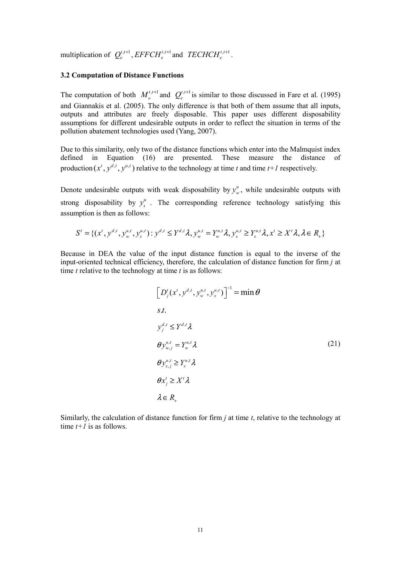multiplication of  $Q_e^{t,t+1}$ ,  $EFFCH_e^{t,t+1}$  and  $TECHCH_e^{t,t+1}$ .

#### 3.2 Computation of Distance Functions

The computation of both  $M_e^{t,t+1}$  and  $Q_e^{t,t+1}$  is similar to those discussed in Fare et al. (1995) and Giannakis et al. (2005). The only difference is that both of them assume that all inputs, outputs and attributes are freely disposable. This paper uses different disposability assumptions for different undesirable outputs in order to reflect the situation in terms of the pollution abatement technologies used (Yang, 2007).

Due to this similarity, only two of the distance functions which enter into the Malmquist index defined in Equation (16) are presented. These measure the distance of production  $(x^t, y^{d,t}, y^{u,t})$  relative to the technology at time t and time t+1 respectively.

Denote undesirable outputs with weak disposability by  $y_w^u$ , while undesirable outputs with strong disposability by  $y_s^u$ . The corresponding reference technology satisfying this assumption is then as follows:

$$
S^t = \{ (x^t, y^{d,t}, y_w^{u,t}, y_s^{u,t}) : y^{d,t} \le Y^{d,t} \lambda, y_w^{u,t} = Y_w^{u,t} \lambda, y_s^{u,t} \ge Y_s^{u,t} \lambda, x^t \ge X^t \lambda, \lambda \in R_+ \}
$$

Because in DEA the value of the input distance function is equal to the inverse of the input-oriented technical efficiency, therefore, the calculation of distance function for firm  $i$  at time  $t$  relative to the technology at time  $t$  is as follows:

$$
\left[D_j^t(x^t, y^{d,t}, y_w^{u,t}, y_s^{u,t})\right]^{-1} = \min \theta
$$
  
s.t.  

$$
y_j^{d,t} \le Y^{d,t} \lambda
$$
  

$$
\theta y_{w,j}^{u,t} = Y_w^{u,t} \lambda
$$
  

$$
\theta y_{s,j}^{u,t} \ge Y_s^{u,t} \lambda
$$
  

$$
\theta x_j^t \ge X^t \lambda
$$
  

$$
\lambda \in R_+
$$
  
(21)

Similarly, the calculation of distance function for firm  $i$  at time  $t$ , relative to the technology at time  $t+1$  is as follows.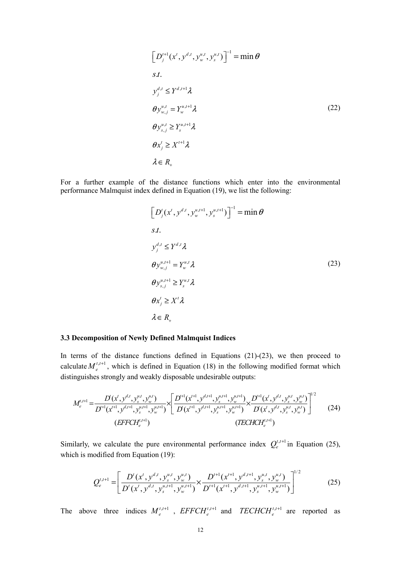$$
\left[D_j^{t+1}(x^t, y^{d,t}, y_w^{u,t}, y_s^{u,t})\right]^{-1} = \min \theta
$$
  
s.t.  

$$
y_j^{d,t} \le Y^{d,t+1} \lambda
$$
  

$$
\theta y_{w,j}^{u,t} = Y_w^{u,t+1} \lambda
$$
  

$$
\theta y_{s,j}^{u,t} \ge Y_s^{u,t+1} \lambda
$$
  

$$
\theta x_j^t \ge X^{t+1} \lambda
$$
  

$$
\lambda \in R_+
$$
  
(22)

For a further example of the distance functions which enter into the environmental performance Malmquist index defined in Equation (19), we list the following:

$$
\left[D_j^t(x^t, y^{d,t}, y_w^{u,t+1}, y_s^{u,t+1})\right]^{-1} = \min \theta
$$
  
s.t.  

$$
y_j^{d,t} \le Y^{d,t} \lambda
$$
  

$$
\theta y_{w,j}^{u,t+1} = Y_w^{u,t} \lambda
$$
  

$$
\theta y_{s,j}^{u,t+1} \ge Y_s^{u,t} \lambda
$$
  

$$
\theta x_j^t \ge X^t \lambda
$$
  

$$
\lambda \in R_+
$$
  
(23)

### 3.3 Decomposition of Newly Defined Malmquist Indices

In terms of the distance functions defined in Equations (21)-(23), we then proceed to calculate  $M_e^{t,t+1}$ , which is defined in Equation (18) in the following modified format which distinguishes strongly and weakly disposable undesirable outputs:

$$
M_e^{t,t+1} = \frac{D^{t}(x^{t}, y^{d,t}, y_s^{u,t}, y_w^{u,t})}{D^{t+1}(x^{t+1}, y^{d,t+1}, y_s^{u,t+1}, y_w^{u,t+1})} \times \left[ \frac{D^{t+1}(x^{t+1}, y^{d,t+1}, y_s^{u,t+1}, y_w^{u,t+1})}{D^{t}(x^{t+1}, y^{d,t+1}, y_s^{u,t+1}, y_w^{u,t+1})} \times \frac{D^{t+1}(x^{t}, y^{d,t}, y_s^{u,t}, y_w^{u,t})}{D^{t}(x^{t}, y^{d,t}, y_s^{u,t}, y_w^{u,t})} \right]^{1/2}
$$
(24)

Similarly, we calculate the pure environmental performance index  $Q_e^{t,t+1}$  in Equation (25), which is modified from Equation (19):

$$
Q_e^{t,t+1} = \left[ \frac{D^t(x^t, y^{d,t}, y_s^{u,t}, y_w^{u,t})}{D^t(x^t, y^{d,t}, y_s^{u,t+1}, y_w^{u,t+1})} \times \frac{D^{t+1}(x^{t+1}, y^{d,t+1}, y_s^{u,t}, y_w^{u,t})}{D^{t+1}(x^{t+1}, y^{d,t+1}, y_s^{u,t+1}, y_w^{u,t+1})} \right]^{1/2}
$$
(25)

The above three indices  $M_e^{t,t+1}$ ,  $EFFCH_e^{t,t+1}$  and  $TECHCH_e^{t,t+1}$  are reported as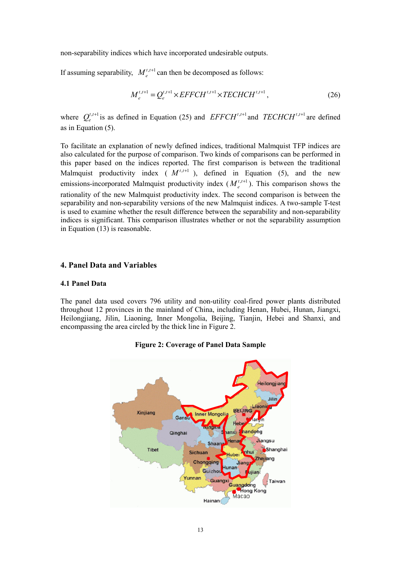non-separability indices which have incorporated undesirable outputs.

If assuming separability,  $M_e^{t, t+1}$  can then be decomposed as follows:

$$
M_e^{t,t+1} = Q_e^{t,t+1} \times EFFCH^{t,t+1} \times TECHCH^{t,t+1},
$$
\n(26)

where  $Q_e^{t,t+1}$  is as defined in Equation (25) and  $EFFCH^{t,t+1}$  and  $TECHCH^{t,t+1}$  are defined as in Equation (5).

To facilitate an explanation of newly defined indices, traditional Malmquist TFP indices are also calculated for the purpose of comparison. Two kinds of comparisons can be performed in this paper based on the indices reported. The first comparison is between the traditional Malmquist productivity index ( $M^{t,t+1}$ ), defined in Equation (5), and the new emissions-incorporated Malmquist productivity index  $(M_e^{t,t+1})$ . This comparison shows the rationality of the new Malmquist productivity index. The second comparison is between the separability and non-separability versions of the new Malmquist indices. A two-sample T-test is used to examine whether the result difference between the separability and non-separability indices is significant. This comparison illustrates whether or not the separability assumption in Equation (13) is reasonable.

# 4. Panel Data and Variables

#### 4.1 Panel Data

The panel data used covers 796 utility and non-utility coal-fired power plants distributed throughout 12 provinces in the mainland of China, including Henan, Hubei, Hunan, Jiangxi, Heilongjiang, Jilin, Liaoning, Inner Mongolia, Beijing, Tianjin, Hebei and Shanxi, and encompassing the area circled by the thick line in Figure 2.



Figure 2: Coverage of Panel Data Sample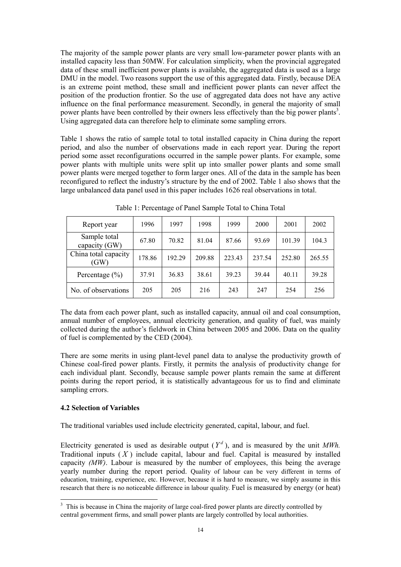The majority of the sample power plants are very small low-parameter power plants with an installed capacity less than 50MW. For calculation simplicity, when the provincial aggregated data of these small inefficient power plants is available, the aggregated data is used as a large DMU in the model. Two reasons support the use of this aggregated data. Firstly, because DEA is an extreme point method, these small and inefficient power plants can never affect the position of the production frontier. So the use of aggregated data does not have any active influence on the final performance measurement. Secondly, in general the majority of small power plants have been controlled by their owners less effectively than the big power plants<sup>3</sup>. Using aggregated data can therefore help to eliminate some sampling errors.

Table 1 shows the ratio of sample total to total installed capacity in China during the report period, and also the number of observations made in each report year. During the report period some asset reconfigurations occurred in the sample power plants. For example, some power plants with multiple units were split up into smaller power plants and some small power plants were merged together to form larger ones. All of the data in the sample has been reconfigured to reflect the industry's structure by the end of 2002. Table 1 also shows that the large unbalanced data panel used in this paper includes 1626 real observations in total.

| Report year                   | 1996   | 1997   | 1998   | 1999   | 2000   | 2001   | 2002   |
|-------------------------------|--------|--------|--------|--------|--------|--------|--------|
| Sample total<br>capacity (GW) | 67.80  | 70.82  | 81.04  | 87.66  | 93.69  | 101.39 | 104.3  |
| China total capacity<br>(GW)  | 178.86 | 192.29 | 209.88 | 223.43 | 237.54 | 252.80 | 265.55 |
| Percentage $(\% )$            | 37.91  | 36.83  | 38.61  | 39.23  | 39.44  | 40.11  | 39.28  |
| No. of observations           | 205    | 205    | 216    | 243    | 247    | 254    | 256    |

Table 1: Percentage of Panel Sample Total to China Total

The data from each power plant, such as installed capacity, annual oil and coal consumption, annual number of employees, annual electricity generation, and quality of fuel, was mainly collected during the author's fieldwork in China between 2005 and 2006. Data on the quality of fuel is complemented by the CED (2004).

There are some merits in using plant-level panel data to analyse the productivity growth of Chinese coal-fired power plants. Firstly, it permits the analysis of productivity change for each individual plant. Secondly, because sample power plants remain the same at different points during the report period, it is statistically advantageous for us to find and eliminate sampling errors.

## 4.2 Selection of Variables

The traditional variables used include electricity generated, capital, labour, and fuel.

Electricity generated is used as desirable output  $(Y^d)$ , and is measured by the unit MWh. Traditional inputs  $(X)$  include capital, labour and fuel. Capital is measured by installed capacity  $(MW)$ . Labour is measured by the number of employees, this being the average yearly number during the report period. Quality of labour can be very different in terms of education, training, experience, etc. However, because it is hard to measure, we simply assume in this research that there is no noticeable difference in labour quality. Fuel is measured by energy (or heat)

<sup>&</sup>lt;sup>3</sup> This is because in China the majority of large coal-fired power plants are directly controlled by central government firms, and small power plants are largely controlled by local authorities.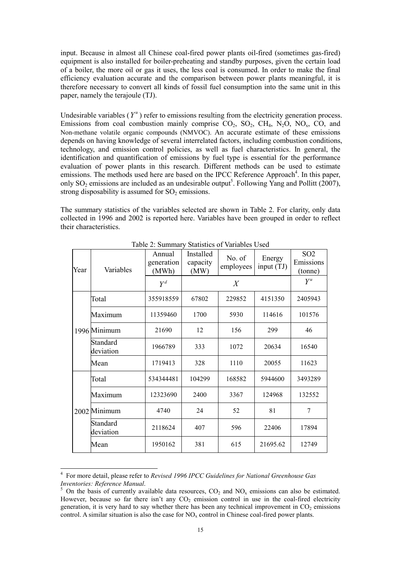input. Because in almost all Chinese coal-fired power plants oil-fired (sometimes gas-fired) equipment is also installed for boiler-preheating and standby purposes, given the certain load of a boiler, the more oil or gas it uses, the less coal is consumed. In order to make the final efficiency evaluation accurate and the comparison between power plants meaningful, it is therefore necessary to convert all kinds of fossil fuel consumption into the same unit in this paper, namely the terajoule (TJ).

Undesirable variables  $(Y^u)$  refer to emissions resulting from the electricity generation process. Emissions from coal combustion mainly comprise  $CO_2$ ,  $SO_2$ ,  $CH_4$ ,  $N_2O$ ,  $NO_x$ ,  $CO$ , and Non-methane volatile organic compounds (NMVOC). An accurate estimate of these emissions depends on having knowledge of several interrelated factors, including combustion conditions, technology, and emission control policies, as well as fuel characteristics. In general, the identification and quantification of emissions by fuel type is essential for the performance evaluation of power plants in this research. Different methods can be used to estimate emissions. The methods used here are based on the IPCC Reference Approach<sup>4</sup>. In this paper, only SO<sub>2</sub> emissions are included as an undesirable output<sup>5</sup>. Following Yang and Pollitt (2007), strong disposability is assumed for  $SO<sub>2</sub>$  emissions.

The summary statistics of the variables selected are shown in Table 2. For clarity, only data collected in 1996 and 2002 is reported here. Variables have been grouped in order to reflect their characteristics.

| Year | Variables             | Annual<br>generation<br>(MWh) | Installed<br>No. of<br>capacity<br>employees<br>(MW) |        | Energy<br>input $(TJ)$ | SO <sub>2</sub><br>Emissions<br>(tonne) |
|------|-----------------------|-------------------------------|------------------------------------------------------|--------|------------------------|-----------------------------------------|
|      |                       | $Y^d$                         |                                                      | X      |                        | $Y^u$                                   |
|      | Total                 | 355918559                     | 67802                                                | 229852 | 4151350                | 2405943                                 |
|      | Maximum               | 11359460                      | 1700                                                 | 5930   | 114616                 | 101576                                  |
|      | 1996 Minimum          | 21690                         | 12                                                   | 156    | 299                    | 46                                      |
|      | Standard<br>deviation | 1966789                       | 1072<br>333                                          |        | 20634                  | 16540                                   |
|      | Mean                  | 1719413                       | 328                                                  | 1110   | 20055                  | 11623                                   |
|      | Total                 | 534344481                     | 104299                                               | 168582 | 5944600                | 3493289                                 |
|      | Maximum               | 12323690                      | 2400                                                 | 3367   | 124968                 | 132552                                  |
|      | 2002 Minimum          | 4740                          | 24                                                   | 52     | 81                     | 7                                       |
|      | Standard<br>deviation | 2118624                       | 407                                                  | 596    | 22406                  | 17894                                   |
|      | Mean                  | 1950162                       | 381                                                  | 615    | 21695.62               | 12749                                   |

Table 2: Summary Statistics of Variables Used

 $\ddot{ }$ 

<sup>4</sup> For more detail, please refer to Revised 1996 IPCC Guidelines for National Greenhouse Gas Inventories: Reference Manual.

<sup>&</sup>lt;sup>5</sup> On the basis of currently available data resources,  $CO_2$  and  $NO_x$  emissions can also be estimated. However, because so far there isn't any  $CO<sub>2</sub>$  emission control in use in the coal-fired electricity generation, it is very hard to say whether there has been any technical improvement in  $CO<sub>2</sub>$  emissions control. A similar situation is also the case for  $NO<sub>x</sub>$  control in Chinese coal-fired power plants.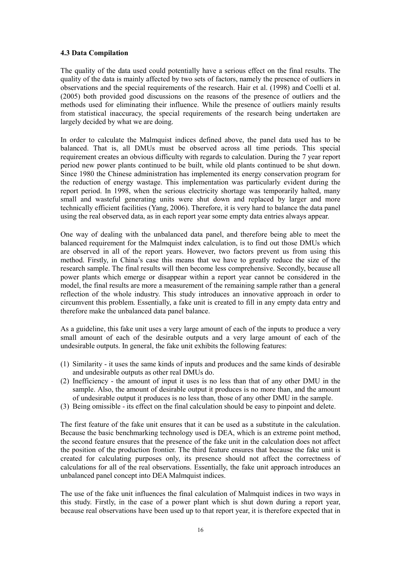## 4.3 Data Compilation

The quality of the data used could potentially have a serious effect on the final results. The quality of the data is mainly affected by two sets of factors, namely the presence of outliers in observations and the special requirements of the research. Hair et al. (1998) and Coelli et al. (2005) both provided good discussions on the reasons of the presence of outliers and the methods used for eliminating their influence. While the presence of outliers mainly results from statistical inaccuracy, the special requirements of the research being undertaken are largely decided by what we are doing.

In order to calculate the Malmquist indices defined above, the panel data used has to be balanced. That is, all DMUs must be observed across all time periods. This special requirement creates an obvious difficulty with regards to calculation. During the 7 year report period new power plants continued to be built, while old plants continued to be shut down. Since 1980 the Chinese administration has implemented its energy conservation program for the reduction of energy wastage. This implementation was particularly evident during the report period. In 1998, when the serious electricity shortage was temporarily halted, many small and wasteful generating units were shut down and replaced by larger and more technically efficient facilities (Yang, 2006). Therefore, it is very hard to balance the data panel using the real observed data, as in each report year some empty data entries always appear.

One way of dealing with the unbalanced data panel, and therefore being able to meet the balanced requirement for the Malmquist index calculation, is to find out those DMUs which are observed in all of the report years. However, two factors prevent us from using this method. Firstly, in China's case this means that we have to greatly reduce the size of the research sample. The final results will then become less comprehensive. Secondly, because all power plants which emerge or disappear within a report year cannot be considered in the model, the final results are more a measurement of the remaining sample rather than a general reflection of the whole industry. This study introduces an innovative approach in order to circumvent this problem. Essentially, a fake unit is created to fill in any empty data entry and therefore make the unbalanced data panel balance.

As a guideline, this fake unit uses a very large amount of each of the inputs to produce a very small amount of each of the desirable outputs and a very large amount of each of the undesirable outputs. In general, the fake unit exhibits the following features:

- (1) Similarity it uses the same kinds of inputs and produces and the same kinds of desirable and undesirable outputs as other real DMUs do.
- (2) Inefficiency the amount of input it uses is no less than that of any other DMU in the sample. Also, the amount of desirable output it produces is no more than, and the amount of undesirable output it produces is no less than, those of any other DMU in the sample.
- (3) Being omissible its effect on the final calculation should be easy to pinpoint and delete.

The first feature of the fake unit ensures that it can be used as a substitute in the calculation. Because the basic benchmarking technology used is DEA, which is an extreme point method, the second feature ensures that the presence of the fake unit in the calculation does not affect the position of the production frontier. The third feature ensures that because the fake unit is created for calculating purposes only, its presence should not affect the correctness of calculations for all of the real observations. Essentially, the fake unit approach introduces an unbalanced panel concept into DEA Malmquist indices.

The use of the fake unit influences the final calculation of Malmquist indices in two ways in this study. Firstly, in the case of a power plant which is shut down during a report year, because real observations have been used up to that report year, it is therefore expected that in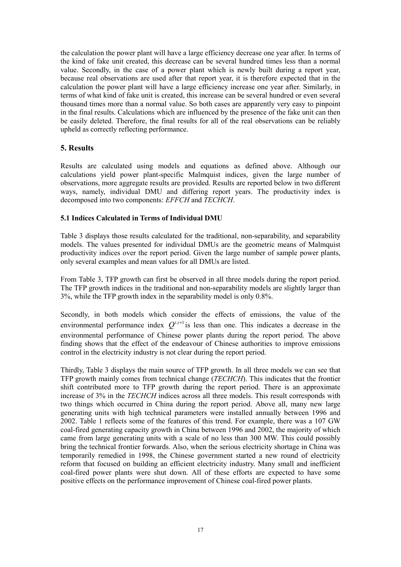the calculation the power plant will have a large efficiency decrease one year after. In terms of the kind of fake unit created, this decrease can be several hundred times less than a normal value. Secondly, in the case of a power plant which is newly built during a report year, because real observations are used after that report year, it is therefore expected that in the calculation the power plant will have a large efficiency increase one year after. Similarly, in terms of what kind of fake unit is created, this increase can be several hundred or even several thousand times more than a normal value. So both cases are apparently very easy to pinpoint in the final results. Calculations which are influenced by the presence of the fake unit can then be easily deleted. Therefore, the final results for all of the real observations can be reliably upheld as correctly reflecting performance.

# 5. Results

Results are calculated using models and equations as defined above. Although our calculations yield power plant-specific Malmquist indices, given the large number of observations, more aggregate results are provided. Results are reported below in two different ways, namely, individual DMU and differing report years. The productivity index is decomposed into two components: EFFCH and TECHCH.

# 5.1 Indices Calculated in Terms of Individual DMU

Table 3 displays those results calculated for the traditional, non-separability, and separability models. The values presented for individual DMUs are the geometric means of Malmquist productivity indices over the report period. Given the large number of sample power plants, only several examples and mean values for all DMUs are listed.

From Table 3, TFP growth can first be observed in all three models during the report period. The TFP growth indices in the traditional and non-separability models are slightly larger than 3%, while the TFP growth index in the separability model is only 0.8%.

Secondly, in both models which consider the effects of emissions, the value of the environmental performance index  $Q^{t,t+1}$  is less than one. This indicates a decrease in the environmental performance of Chinese power plants during the report period. The above finding shows that the effect of the endeavour of Chinese authorities to improve emissions control in the electricity industry is not clear during the report period.

Thirdly, Table 3 displays the main source of TFP growth. In all three models we can see that TFP growth mainly comes from technical change (TECHCH). This indicates that the frontier shift contributed more to TFP growth during the report period. There is an approximate increase of 3% in the *TECHCH* indices across all three models. This result corresponds with two things which occurred in China during the report period. Above all, many new large generating units with high technical parameters were installed annually between 1996 and 2002. Table 1 reflects some of the features of this trend. For example, there was a 107 GW coal-fired generating capacity growth in China between 1996 and 2002, the majority of which came from large generating units with a scale of no less than 300 MW. This could possibly bring the technical frontier forwards. Also, when the serious electricity shortage in China was temporarily remedied in 1998, the Chinese government started a new round of electricity reform that focused on building an efficient electricity industry. Many small and inefficient coal-fired power plants were shut down. All of these efforts are expected to have some positive effects on the performance improvement of Chinese coal-fired power plants.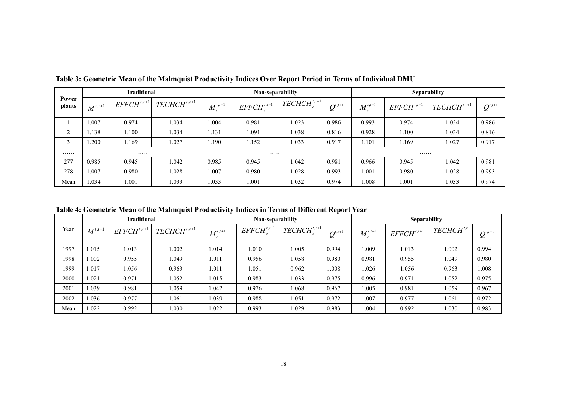|                 | <b>Traditional</b> |                 |                  | Non-separability |                 |                  |                                          | <b>Separability</b> |                 |                  |                                                       |
|-----------------|--------------------|-----------------|------------------|------------------|-----------------|------------------|------------------------------------------|---------------------|-----------------|------------------|-------------------------------------------------------|
| Power<br>plants | $M^{t,t+1}$        | $EFFCH^{t,t+1}$ | $TECHCH^{t,t+1}$ | $M^{t,t+1}$      | $EFFCH^{t,t+1}$ | $TECHCH^{t,t+1}$ | $\mathcal{Q}^{\scriptscriptstyle t,t+1}$ | $M^{t,t+1}_{a}$     | $EFFCH^{t,t+1}$ | $TECHCH^{t,t+1}$ | $\boldsymbol{\mathcal{Q}}^{\scriptscriptstyle t,t+1}$ |
|                 | 1.007              | 0.974           | 1.034            | 1.004            | 0.981           | 1.023            | 0.986                                    | 0.993               | 0.974           | 1.034            | 0.986                                                 |
| $\bigcap$<br>∠  | 1.138              | 1.100           | 1.034            | 1.131            | 1.091           | 1.038            | 0.816                                    | 0.928               | 1.100           | 1.034            | 0.816                                                 |
|                 | 1.200              | 1.169           | 1.027            | 1.190            | 1.152           | 1.033            | 0.917                                    | 1.101               | 1.169           | 1.027            | 0.917                                                 |
| .               |                    | .<br>.          |                  |                  |                 |                  |                                          |                     | .               |                  |                                                       |
| 277             | 0.985              | 0.945           | 1.042            | 0.985            | 0.945           | 1.042            | 0.981                                    | 0.966               | 0.945           | 1.042            | 0.981                                                 |
| 278             | 1.007              | 0.980           | 1.028            | 1.007            | 0.980           | 1.028            | 0.993                                    | 1.001               | 0.980           | 1.028            | 0.993                                                 |
| Mean            | 1.034              | 1.001           | 1.033            | 1.033            | 1.001           | 1.032            | 0.974                                    | 0.008               | 1.001           | 1.033            | 0.974                                                 |

Table 3: Geometric Mean of the Malmquist Productivity Indices Over Report Period in Terms of Individual DMU

Table 4: Geometric Mean of the Malmquist Productivity Indices in Terms of Different Report Year

|      | <b>Traditional</b> |                 |                  |             | Non-separability         |                  |                                          | <b>Separability</b> |                 |                  |                                                       |
|------|--------------------|-----------------|------------------|-------------|--------------------------|------------------|------------------------------------------|---------------------|-----------------|------------------|-------------------------------------------------------|
| Year | $M^{t,t+1}$        | $EFFCH^{t,t+1}$ | $TECHCH^{t,t+1}$ | $M^{t,t+1}$ | $EFFCH$ <sup>t,t+1</sup> | $TECHCH^{t,t+1}$ | $\mathcal{Q}^{\scriptscriptstyle t,t+1}$ | $M^{t,t+1}$         | $EFFCH^{t,t+1}$ | $TECHCH^{t,t+1}$ | $\boldsymbol{\mathcal{Q}}^{\scriptscriptstyle t,t+1}$ |
| 1997 | 1.015              | 1.013           | 1.002            | 1.014       | .010                     | 1.005            | 0.994                                    | 1.009               | 1.013           | 1.002            | 0.994                                                 |
| 1998 | 1.002              | 0.955           | 1.049            | 1.011       | 0.956                    | 1.058            | 0.980                                    | 0.981               | 0.955           | 1.049            | 0.980                                                 |
| 1999 | 1.017              | 1.056           | 0.963            | 1.011       | 1.051                    | 0.962            | 1.008                                    | 1.026               | 1.056           | 0.963            | 1.008                                                 |
| 2000 | 1.021              | 0.971           | 1.052            | 1.015       | 0.983                    | 1.033            | 0.975                                    | 0.996               | 0.971           | 1.052            | 0.975                                                 |
| 2001 | .039               | 0.981           | .059             | 1.042       | 0.976                    | 1.068            | 0.967                                    | 1.005               | 0.981           | 1.059            | 0.967                                                 |
| 2002 | 1.036              | 0.977           | 1.061            | 1.039       | 0.988                    | 1.051            | 0.972                                    | 1.007               | 0.977           | 1.061            | 0.972                                                 |
| Mean | 1.022              | 0.992           | 1.030            | 1.022       | 0.993                    | 1.029            | 0.983                                    | 1.004               | 0.992           | 1.030            | 0.983                                                 |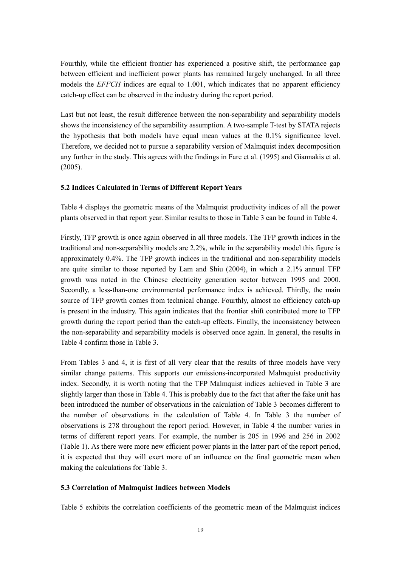Fourthly, while the efficient frontier has experienced a positive shift, the performance gap between efficient and inefficient power plants has remained largely unchanged. In all three models the EFFCH indices are equal to 1.001, which indicates that no apparent efficiency catch-up effect can be observed in the industry during the report period.

Last but not least, the result difference between the non-separability and separability models shows the inconsistency of the separability assumption. A two-sample T-test by STATA rejects the hypothesis that both models have equal mean values at the 0.1% significance level. Therefore, we decided not to pursue a separability version of Malmquist index decomposition any further in the study. This agrees with the findings in Fare et al. (1995) and Giannakis et al. (2005).

# 5.2 Indices Calculated in Terms of Different Report Years

Table 4 displays the geometric means of the Malmquist productivity indices of all the power plants observed in that report year. Similar results to those in Table 3 can be found in Table 4.

Firstly, TFP growth is once again observed in all three models. The TFP growth indices in the traditional and non-separability models are 2.2%, while in the separability model this figure is approximately 0.4%. The TFP growth indices in the traditional and non-separability models are quite similar to those reported by Lam and Shiu (2004), in which a 2.1% annual TFP growth was noted in the Chinese electricity generation sector between 1995 and 2000. Secondly, a less-than-one environmental performance index is achieved. Thirdly, the main source of TFP growth comes from technical change. Fourthly, almost no efficiency catch-up is present in the industry. This again indicates that the frontier shift contributed more to TFP growth during the report period than the catch-up effects. Finally, the inconsistency between the non-separability and separability models is observed once again. In general, the results in Table 4 confirm those in Table 3.

From Tables 3 and 4, it is first of all very clear that the results of three models have very similar change patterns. This supports our emissions-incorporated Malmquist productivity index. Secondly, it is worth noting that the TFP Malmquist indices achieved in Table 3 are slightly larger than those in Table 4. This is probably due to the fact that after the fake unit has been introduced the number of observations in the calculation of Table 3 becomes different to the number of observations in the calculation of Table 4. In Table 3 the number of observations is 278 throughout the report period. However, in Table 4 the number varies in terms of different report years. For example, the number is 205 in 1996 and 256 in 2002 (Table 1). As there were more new efficient power plants in the latter part of the report period, it is expected that they will exert more of an influence on the final geometric mean when making the calculations for Table 3.

## 5.3 Correlation of Malmquist Indices between Models

Table 5 exhibits the correlation coefficients of the geometric mean of the Malmquist indices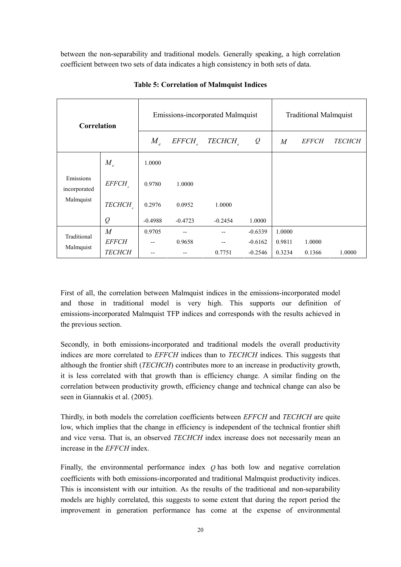between the non-separability and traditional models. Generally speaking, a high correlation coefficient between two sets of data indicates a high consistency in both sets of data.

| Correlation               |               |                            |           | Emissions-incorporated Malmquist | <b>Traditional Malmquist</b> |        |              |               |
|---------------------------|---------------|----------------------------|-----------|----------------------------------|------------------------------|--------|--------------|---------------|
|                           |               | $M_{\scriptscriptstyle e}$ | EFFCH     | TECHCH <sub>2</sub>              | $\varrho$                    | M      | <i>EFFCH</i> | <b>TECHCH</b> |
|                           | $M_{e}$       | 1.0000                     |           |                                  |                              |        |              |               |
| Emissions<br>incorporated | EFFCH         | 0.9780                     | 1.0000    |                                  |                              |        |              |               |
| Malmquist                 | TECHCH        | 0.2976                     | 0.0952    | 1.0000                           |                              |        |              |               |
|                           | $\varrho$     | $-0.4988$                  | $-0.4723$ | $-0.2454$                        | 1.0000                       |        |              |               |
| Traditional<br>Malmquist  | M             | 0.9705                     |           |                                  | $-0.6339$                    | 1.0000 |              |               |
|                           | <b>EFFCH</b>  | --                         | 0.9658    |                                  | $-0.6162$                    | 0.9811 | 1.0000       |               |
|                           | <b>TECHCH</b> |                            |           | 0.7751                           | $-0.2546$                    | 0.3234 | 0.1366       | 1.0000        |

Table 5: Correlation of Malmquist Indices

First of all, the correlation between Malmquist indices in the emissions-incorporated model and those in traditional model is very high. This supports our definition of emissions-incorporated Malmquist TFP indices and corresponds with the results achieved in the previous section.

Secondly, in both emissions-incorporated and traditional models the overall productivity indices are more correlated to *EFFCH* indices than to *TECHCH* indices. This suggests that although the frontier shift (TECHCH) contributes more to an increase in productivity growth, it is less correlated with that growth than is efficiency change. A similar finding on the correlation between productivity growth, efficiency change and technical change can also be seen in Giannakis et al. (2005).

Thirdly, in both models the correlation coefficients between *EFFCH* and *TECHCH* are quite low, which implies that the change in efficiency is independent of the technical frontier shift and vice versa. That is, an observed TECHCH index increase does not necessarily mean an increase in the EFFCH index.

Finally, the environmental performance index  $Q$  has both low and negative correlation coefficients with both emissions-incorporated and traditional Malmquist productivity indices. This is inconsistent with our intuition. As the results of the traditional and non-separability models are highly correlated, this suggests to some extent that during the report period the improvement in generation performance has come at the expense of environmental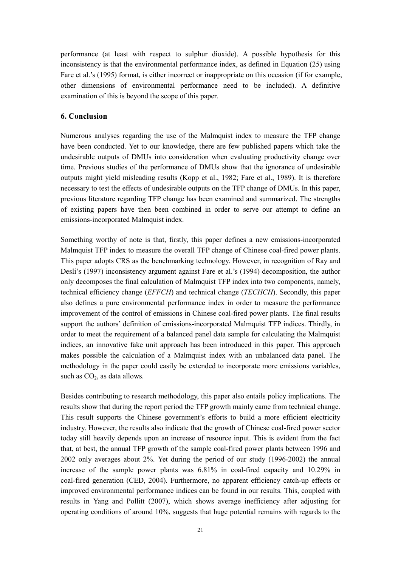performance (at least with respect to sulphur dioxide). A possible hypothesis for this inconsistency is that the environmental performance index, as defined in Equation (25) using Fare et al.'s (1995) format, is either incorrect or inappropriate on this occasion (if for example, other dimensions of environmental performance need to be included). A definitive examination of this is beyond the scope of this paper.

# 6. Conclusion

Numerous analyses regarding the use of the Malmquist index to measure the TFP change have been conducted. Yet to our knowledge, there are few published papers which take the undesirable outputs of DMUs into consideration when evaluating productivity change over time. Previous studies of the performance of DMUs show that the ignorance of undesirable outputs might yield misleading results (Kopp et al., 1982; Fare et al., 1989). It is therefore necessary to test the effects of undesirable outputs on the TFP change of DMUs. In this paper, previous literature regarding TFP change has been examined and summarized. The strengths of existing papers have then been combined in order to serve our attempt to define an emissions-incorporated Malmquist index.

Something worthy of note is that, firstly, this paper defines a new emissions-incorporated Malmquist TFP index to measure the overall TFP change of Chinese coal-fired power plants. This paper adopts CRS as the benchmarking technology. However, in recognition of Ray and Desli's (1997) inconsistency argument against Fare et al.'s (1994) decomposition, the author only decomposes the final calculation of Malmquist TFP index into two components, namely, technical efficiency change (EFFCH) and technical change (TECHCH). Secondly, this paper also defines a pure environmental performance index in order to measure the performance improvement of the control of emissions in Chinese coal-fired power plants. The final results support the authors' definition of emissions-incorporated Malmquist TFP indices. Thirdly, in order to meet the requirement of a balanced panel data sample for calculating the Malmquist indices, an innovative fake unit approach has been introduced in this paper. This approach makes possible the calculation of a Malmquist index with an unbalanced data panel. The methodology in the paper could easily be extended to incorporate more emissions variables, such as  $CO<sub>2</sub>$ , as data allows.

Besides contributing to research methodology, this paper also entails policy implications. The results show that during the report period the TFP growth mainly came from technical change. This result supports the Chinese government's efforts to build a more efficient electricity industry. However, the results also indicate that the growth of Chinese coal-fired power sector today still heavily depends upon an increase of resource input. This is evident from the fact that, at best, the annual TFP growth of the sample coal-fired power plants between 1996 and 2002 only averages about 2%. Yet during the period of our study (1996-2002) the annual increase of the sample power plants was 6.81% in coal-fired capacity and 10.29% in coal-fired generation (CED, 2004). Furthermore, no apparent efficiency catch-up effects or improved environmental performance indices can be found in our results. This, coupled with results in Yang and Pollitt (2007), which shows average inefficiency after adjusting for operating conditions of around 10%, suggests that huge potential remains with regards to the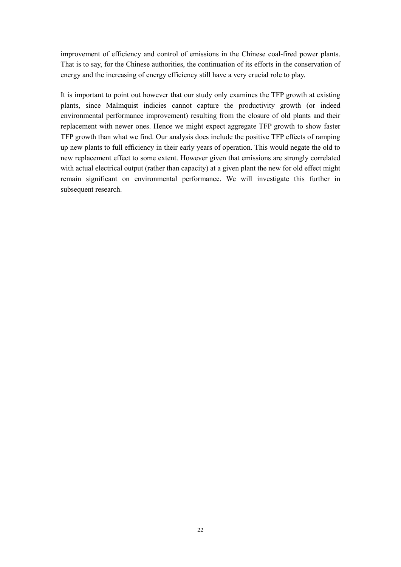improvement of efficiency and control of emissions in the Chinese coal-fired power plants. That is to say, for the Chinese authorities, the continuation of its efforts in the conservation of energy and the increasing of energy efficiency still have a very crucial role to play.

It is important to point out however that our study only examines the TFP growth at existing plants, since Malmquist indicies cannot capture the productivity growth (or indeed environmental performance improvement) resulting from the closure of old plants and their replacement with newer ones. Hence we might expect aggregate TFP growth to show faster TFP growth than what we find. Our analysis does include the positive TFP effects of ramping up new plants to full efficiency in their early years of operation. This would negate the old to new replacement effect to some extent. However given that emissions are strongly correlated with actual electrical output (rather than capacity) at a given plant the new for old effect might remain significant on environmental performance. We will investigate this further in subsequent research.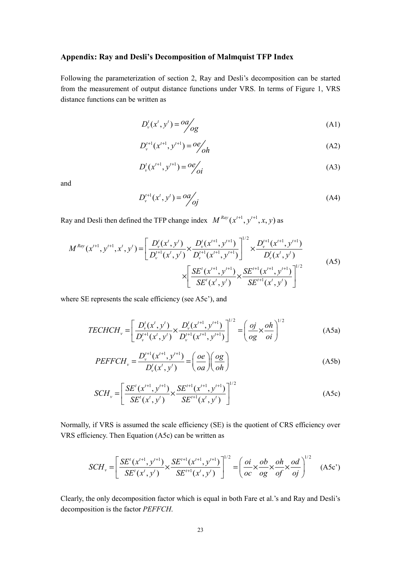# Appendix: Ray and Desli's Decomposition of Malmquist TFP Index

Following the parameterization of section 2, Ray and Desli's decomposition can be started from the measurement of output distance functions under VRS. In terms of Figure 1, VRS distance functions can be written as

$$
D_v^t(x^t, y^t) = \frac{oa}{\log}
$$
 (A1)

$$
D_{\nu}^{t+1}(x^{t+1}, y^{t+1}) = \frac{oe}{oh}
$$
 (A2)

$$
D_{\nu}^{t}(x^{t+1}, y^{t+1}) = Oe\!\!\!\!\!\!\!\!\!\!\!\!\! /_{oi} \tag{A3}
$$

and

$$
D_{\nu}^{t+1}(x^t, y^t) = \frac{oa}{oj}
$$
 (A4)

Ray and Desli then defined the TFP change index  $M^{Ray}(x^{t+1}, y^{t+1}, x, y)$  as

$$
M^{Ray}(x^{t+1}, y^{t+1}, x^t, y^t) = \left[ \frac{D_v^t(x^t, y^t)}{D_v^{t+1}(x^t, y^t)} \times \frac{D_v^t(x^{t+1}, y^{t+1})}{D_v^{t+1}(x^{t+1}, y^{t+1})} \right]^{1/2} \times \frac{D_v^{t+1}(x^{t+1}, y^{t+1})}{D_v^t(x^t, y^t)} \times \left[ \frac{SE^t(x^{t+1}, y^{t+1})}{SE^t(x^t, y^t)} \times \frac{SE^{t+1}(x^{t+1}, y^{t+1})}{SE^{t+1}(x^t, y^t)} \right]^{1/2}
$$
(A5)

where SE represents the scale efficiency (see A5c'), and

$$
TECHCH_v = \left[ \frac{D_v^t(x^t, y^t)}{D_v^{t+1}(x^t, y^t)} \times \frac{D_v^t(x^{t+1}, y^{t+1})}{D_v^{t+1}(x^{t+1}, y^{t+1})} \right]^{1/2} = \left( \frac{oj}{og} \times \frac{oh}{oi} \right)^{1/2}
$$
(A5a)

$$
PEFFCH_v = \frac{D_v'^{t+1}(x^{t+1}, y^{t+1})}{D_v'(x^t, y^t)} = \left(\frac{oe}{oa}\right)\left(\frac{og}{oh}\right)
$$
(A5b)

$$
SCH_{\nu} = \left[ \frac{SE^{t}(x^{t+1}, y^{t+1})}{SE^{t}(x^{t}, y^{t})} \times \frac{SE^{t+1}(x^{t+1}, y^{t+1})}{SE^{t+1}(x^{t}, y^{t})} \right]^{1/2}
$$
(A5c)

Normally, if VRS is assumed the scale efficiency (SE) is the quotient of CRS efficiency over VRS efficiency. Then Equation (A5c) can be written as

$$
SCH_v = \left[ \frac{SE^{t}(x^{t+1}, y^{t+1})}{SE^{t}(x^{t}, y^{t})} \times \frac{SE^{t+1}(x^{t+1}, y^{t+1})}{SE^{t+1}(x^{t}, y^{t})} \right]^{1/2} = \left( \frac{oi}{oc} \times \frac{ob}{og} \times \frac{oh}{of} \times \frac{od}{oj} \right)^{1/2}
$$
 (A5c')

Clearly, the only decomposition factor which is equal in both Fare et al.'s and Ray and Desli's decomposition is the factor PEFFCH.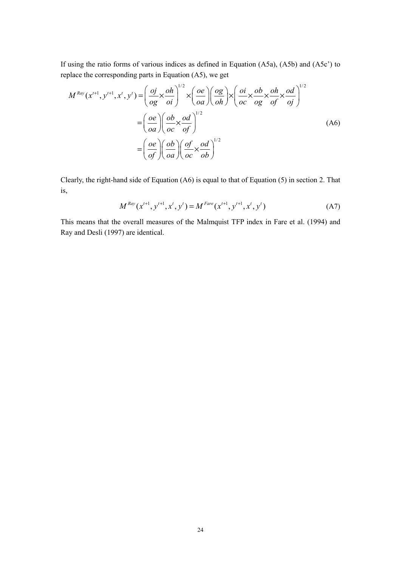If using the ratio forms of various indices as defined in Equation (A5a), (A5b) and (A5c') to replace the corresponding parts in Equation (A5), we get

$$
M^{Ray}(x^{t+1}, y^{t+1}, x^t, y^t) = \left(\frac{oj}{og} \times \frac{oh}{oi}\right)^{1/2} \times \left(\frac{oe}{oa}\right) \left(\frac{og}{oh}\right) \times \left(\frac{oi}{oc} \times \frac{ob}{og} \times \frac{oh}{of} \times \frac{od}{oj}\right)^{1/2}
$$

$$
= \left(\frac{oe}{oa}\right) \left(\frac{ob}{oc} \times \frac{od}{of}\right)^{1/2}
$$
(A6)
$$
= \left(\frac{oe}{of}\right) \left(\frac{ob}{oa}\right) \left(\frac{of}{oc} \times \frac{od}{ob}\right)^{1/2}
$$

Clearly, the right-hand side of Equation (A6) is equal to that of Equation (5) in section 2. That is,

$$
M^{Ray}(x^{t+1}, y^{t+1}, x^t, y^t) = M^{Fare}(x^{t+1}, y^{t+1}, x^t, y^t)
$$
 (A7)

This means that the overall measures of the Malmquist TFP index in Fare et al. (1994) and Ray and Desli (1997) are identical.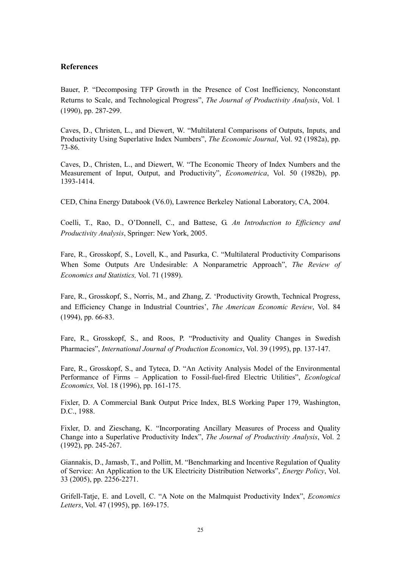## References

Bauer, P. "Decomposing TFP Growth in the Presence of Cost Inefficiency, Nonconstant Returns to Scale, and Technological Progress", The Journal of Productivity Analysis, Vol. 1 (1990), pp. 287-299.

Caves, D., Christen, L., and Diewert, W. "Multilateral Comparisons of Outputs, Inputs, and Productivity Using Superlative Index Numbers", The Economic Journal, Vol. 92 (1982a), pp. 73-86.

Caves, D., Christen, L., and Diewert, W. "The Economic Theory of Index Numbers and the Measurement of Input, Output, and Productivity", Econometrica, Vol. 50 (1982b), pp. 1393-1414.

CED, China Energy Databook (V6.0), Lawrence Berkeley National Laboratory, CA, 2004.

Coelli, T., Rao, D., O'Donnell, C., and Battese, G. An Introduction to Efficiency and Productivity Analysis, Springer: New York, 2005.

Fare, R., Grosskopf, S., Lovell, K., and Pasurka, C. "Multilateral Productivity Comparisons When Some Outputs Are Undesirable: A Nonparametric Approach", The Review of Economics and Statistics, Vol. 71 (1989).

Fare, R., Grosskopf, S., Norris, M., and Zhang, Z. 'Productivity Growth, Technical Progress, and Efficiency Change in Industrial Countries', The American Economic Review, Vol. 84 (1994), pp. 66-83.

Fare, R., Grosskopf, S., and Roos, P. "Productivity and Quality Changes in Swedish Pharmacies", International Journal of Production Economics, Vol. 39 (1995), pp. 137-147.

Fare, R., Grosskopf, S., and Tyteca, D. "An Activity Analysis Model of the Environmental Performance of Firms – Application to Fossil-fuel-fired Electric Utilities", Econlogical Economics, Vol. 18 (1996), pp. 161-175.

Fixler, D. A Commercial Bank Output Price Index, BLS Working Paper 179, Washington, D.C., 1988.

Fixler, D. and Zieschang, K. "Incorporating Ancillary Measures of Process and Quality Change into a Superlative Productivity Index", The Journal of Productivity Analysis, Vol. 2 (1992), pp. 245-267.

Giannakis, D., Jamasb, T., and Pollitt, M. "Benchmarking and Incentive Regulation of Quality of Service: An Application to the UK Electricity Distribution Networks", Energy Policy, Vol. 33 (2005), pp. 2256-2271.

Grifell-Tatje, E. and Lovell, C. "A Note on the Malmquist Productivity Index", Economics Letters, Vol. 47 (1995), pp. 169-175.